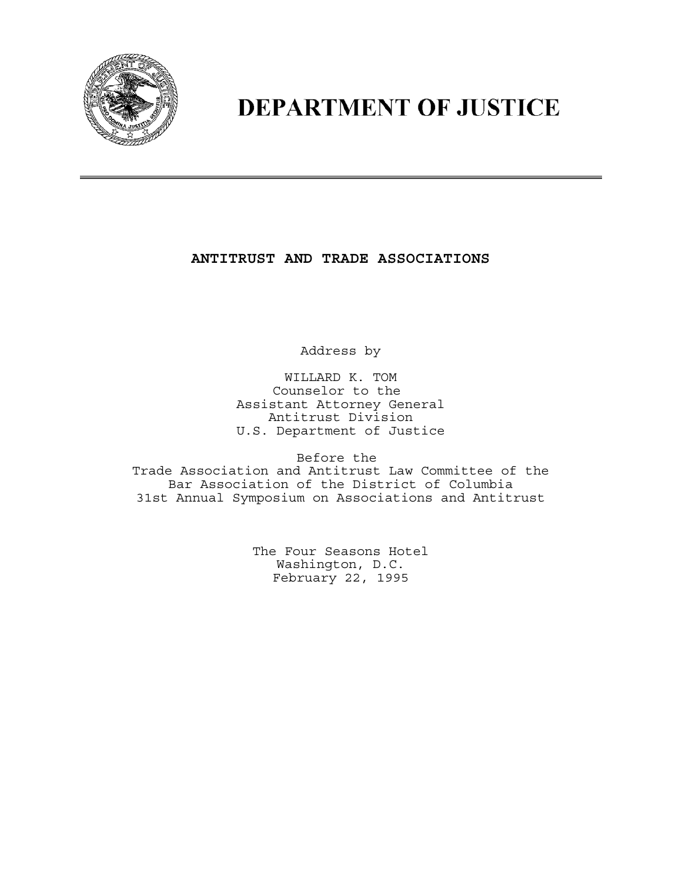

## **DEPARTMENT OF JUSTICE**

**ANTITRUST AND TRADE ASSOCIATIONS**

Address by

WILLARD K. TOM Counselor to the Assistant Attorney General Antitrust Division U.S. Department of Justice

Before the Trade Association and Antitrust Law Committee of the Bar Association of the District of Columbia 31st Annual Symposium on Associations and Antitrust

> The Four Seasons Hotel Washington, D.C. February 22, 1995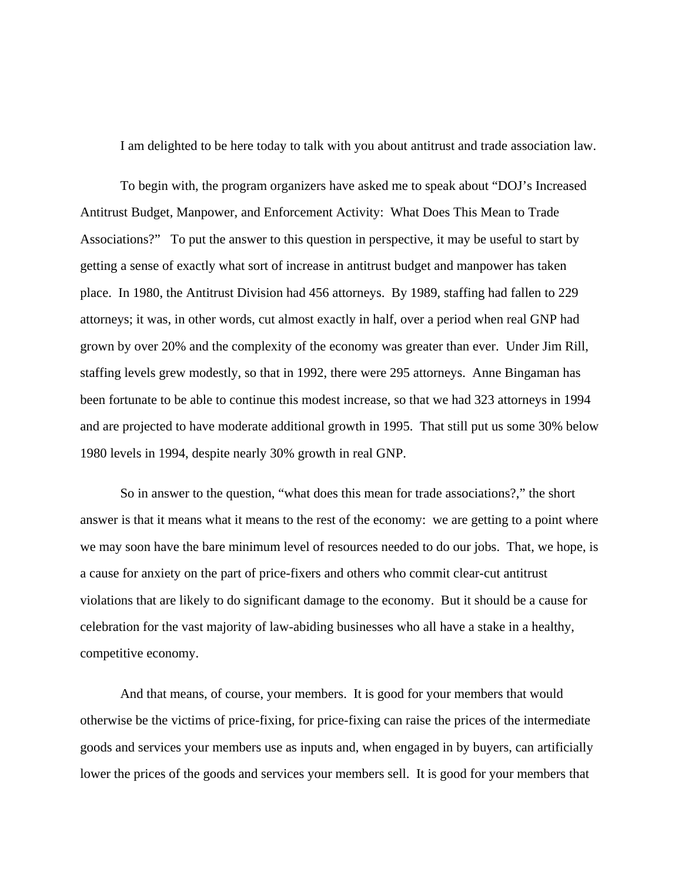I am delighted to be here today to talk with you about antitrust and trade association law.

To begin with, the program organizers have asked me to speak about "DOJ's Increased Antitrust Budget, Manpower, and Enforcement Activity: What Does This Mean to Trade Associations?" To put the answer to this question in perspective, it may be useful to start by getting a sense of exactly what sort of increase in antitrust budget and manpower has taken place. In 1980, the Antitrust Division had 456 attorneys. By 1989, staffing had fallen to 229 attorneys; it was, in other words, cut almost exactly in half, over a period when real GNP had grown by over 20% and the complexity of the economy was greater than ever. Under Jim Rill, staffing levels grew modestly, so that in 1992, there were 295 attorneys. Anne Bingaman has been fortunate to be able to continue this modest increase, so that we had 323 attorneys in 1994 and are projected to have moderate additional growth in 1995. That still put us some 30% below 1980 levels in 1994, despite nearly 30% growth in real GNP.

So in answer to the question, "what does this mean for trade associations?," the short answer is that it means what it means to the rest of the economy: we are getting to a point where we may soon have the bare minimum level of resources needed to do our jobs. That, we hope, is a cause for anxiety on the part of price-fixers and others who commit clear-cut antitrust violations that are likely to do significant damage to the economy. But it should be a cause for celebration for the vast majority of law-abiding businesses who all have a stake in a healthy, competitive economy.

And that means, of course, your members. It is good for your members that would otherwise be the victims of price-fixing, for price-fixing can raise the prices of the intermediate goods and services your members use as inputs and, when engaged in by buyers, can artificially lower the prices of the goods and services your members sell. It is good for your members that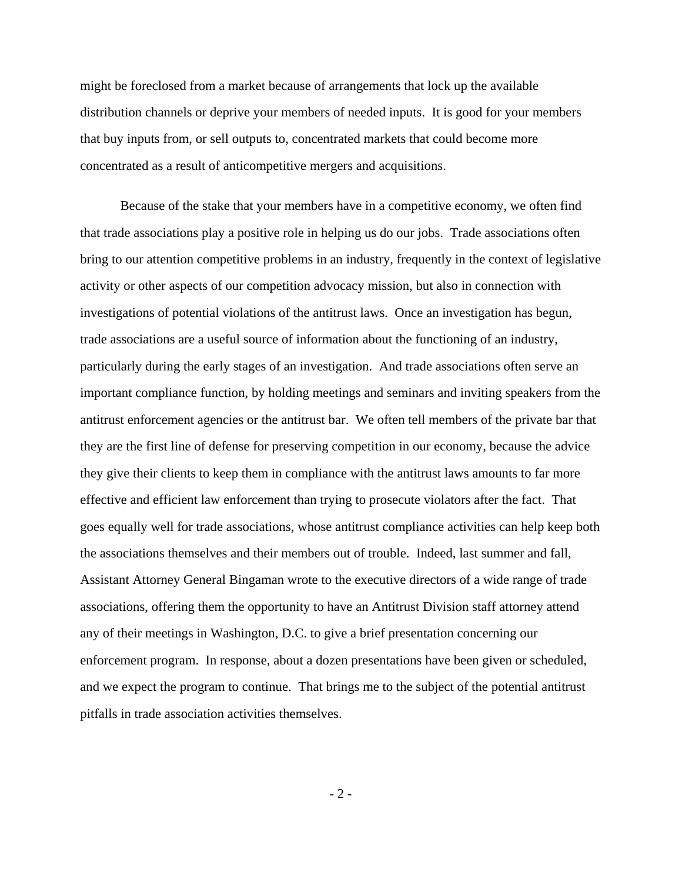might be foreclosed from a market because of arrangements that lock up the available distribution channels or deprive your members of needed inputs. It is good for your members that buy inputs from, or sell outputs to, concentrated markets that could become more concentrated as a result of anticompetitive mergers and acquisitions.

Because of the stake that your members have in a competitive economy, we often find that trade associations play a positive role in helping us do our jobs. Trade associations often bring to our attention competitive problems in an industry, frequently in the context of legislative activity or other aspects of our competition advocacy mission, but also in connection with investigations of potential violations of the antitrust laws. Once an investigation has begun, trade associations are a useful source of information about the functioning of an industry, particularly during the early stages of an investigation. And trade associations often serve an important compliance function, by holding meetings and seminars and inviting speakers from the antitrust enforcement agencies or the antitrust bar. We often tell members of the private bar that they are the first line of defense for preserving competition in our economy, because the advice they give their clients to keep them in compliance with the antitrust laws amounts to far more effective and efficient law enforcement than trying to prosecute violators after the fact. That goes equally well for trade associations, whose antitrust compliance activities can help keep both the associations themselves and their members out of trouble. Indeed, last summer and fall, Assistant Attorney General Bingaman wrote to the executive directors of a wide range of trade associations, offering them the opportunity to have an Antitrust Division staff attorney attend any of their meetings in Washington, D.C. to give a brief presentation concerning our enforcement program. In response, about a dozen presentations have been given or scheduled, and we expect the program to continue. That brings me to the subject of the potential antitrust pitfalls in trade association activities themselves.

- 2 -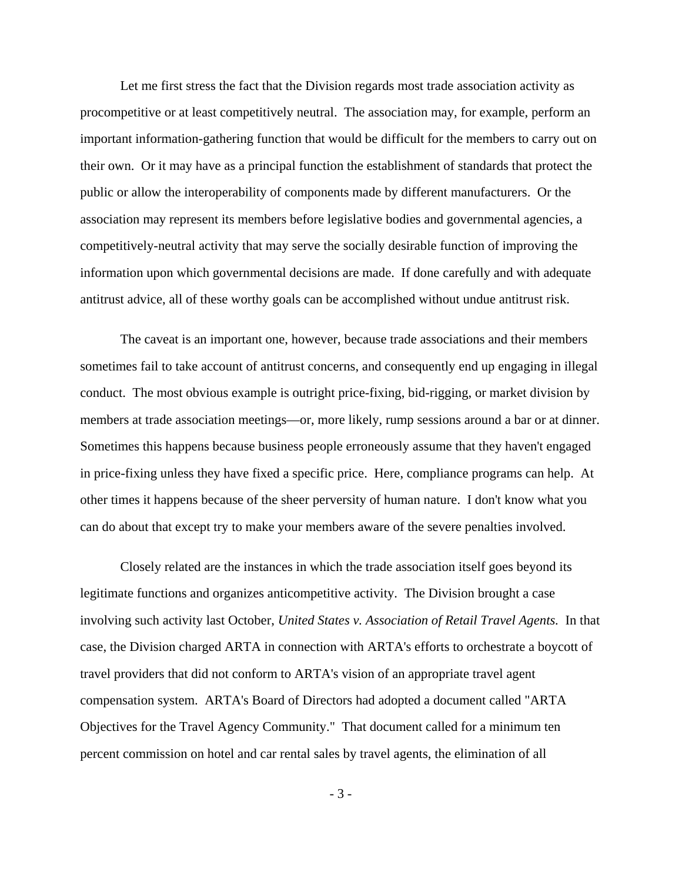Let me first stress the fact that the Division regards most trade association activity as procompetitive or at least competitively neutral. The association may, for example, perform an important information-gathering function that would be difficult for the members to carry out on their own. Or it may have as a principal function the establishment of standards that protect the public or allow the interoperability of components made by different manufacturers. Or the association may represent its members before legislative bodies and governmental agencies, a competitively-neutral activity that may serve the socially desirable function of improving the information upon which governmental decisions are made. If done carefully and with adequate antitrust advice, all of these worthy goals can be accomplished without undue antitrust risk.

The caveat is an important one, however, because trade associations and their members sometimes fail to take account of antitrust concerns, and consequently end up engaging in illegal conduct. The most obvious example is outright price-fixing, bid-rigging, or market division by members at trade association meetings—or, more likely, rump sessions around a bar or at dinner. Sometimes this happens because business people erroneously assume that they haven't engaged in price-fixing unless they have fixed a specific price. Here, compliance programs can help. At other times it happens because of the sheer perversity of human nature. I don't know what you can do about that except try to make your members aware of the severe penalties involved.

Closely related are the instances in which the trade association itself goes beyond its legitimate functions and organizes anticompetitive activity. The Division brought a case involving such activity last October, *United States v. Association of Retail Travel Agents.* In that case, the Division charged ARTA in connection with ARTA's efforts to orchestrate a boycott of travel providers that did not conform to ARTA's vision of an appropriate travel agent compensation system. ARTA's Board of Directors had adopted a document called "ARTA Objectives for the Travel Agency Community." That document called for a minimum ten percent commission on hotel and car rental sales by travel agents, the elimination of all

- 3 -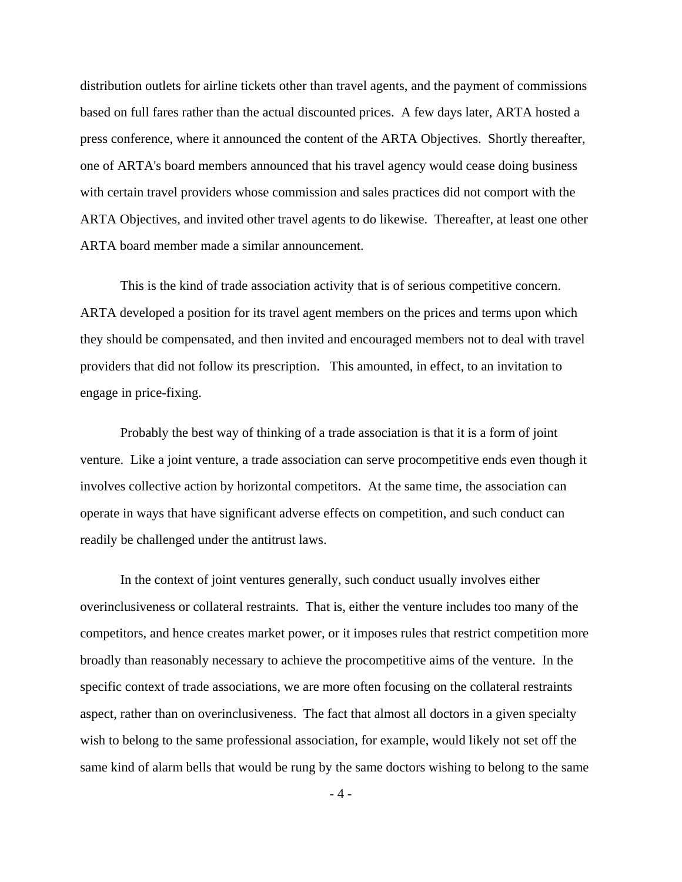distribution outlets for airline tickets other than travel agents, and the payment of commissions based on full fares rather than the actual discounted prices. A few days later, ARTA hosted a press conference, where it announced the content of the ARTA Objectives. Shortly thereafter, one of ARTA's board members announced that his travel agency would cease doing business with certain travel providers whose commission and sales practices did not comport with the ARTA Objectives, and invited other travel agents to do likewise. Thereafter, at least one other ARTA board member made a similar announcement.

This is the kind of trade association activity that is of serious competitive concern. ARTA developed a position for its travel agent members on the prices and terms upon which they should be compensated, and then invited and encouraged members not to deal with travel providers that did not follow its prescription. This amounted, in effect, to an invitation to engage in price-fixing.

Probably the best way of thinking of a trade association is that it is a form of joint venture. Like a joint venture, a trade association can serve procompetitive ends even though it involves collective action by horizontal competitors. At the same time, the association can operate in ways that have significant adverse effects on competition, and such conduct can readily be challenged under the antitrust laws.

In the context of joint ventures generally, such conduct usually involves either overinclusiveness or collateral restraints. That is, either the venture includes too many of the competitors, and hence creates market power, or it imposes rules that restrict competition more broadly than reasonably necessary to achieve the procompetitive aims of the venture. In the specific context of trade associations, we are more often focusing on the collateral restraints aspect, rather than on overinclusiveness. The fact that almost all doctors in a given specialty wish to belong to the same professional association, for example, would likely not set off the same kind of alarm bells that would be rung by the same doctors wishing to belong to the same

- 4 -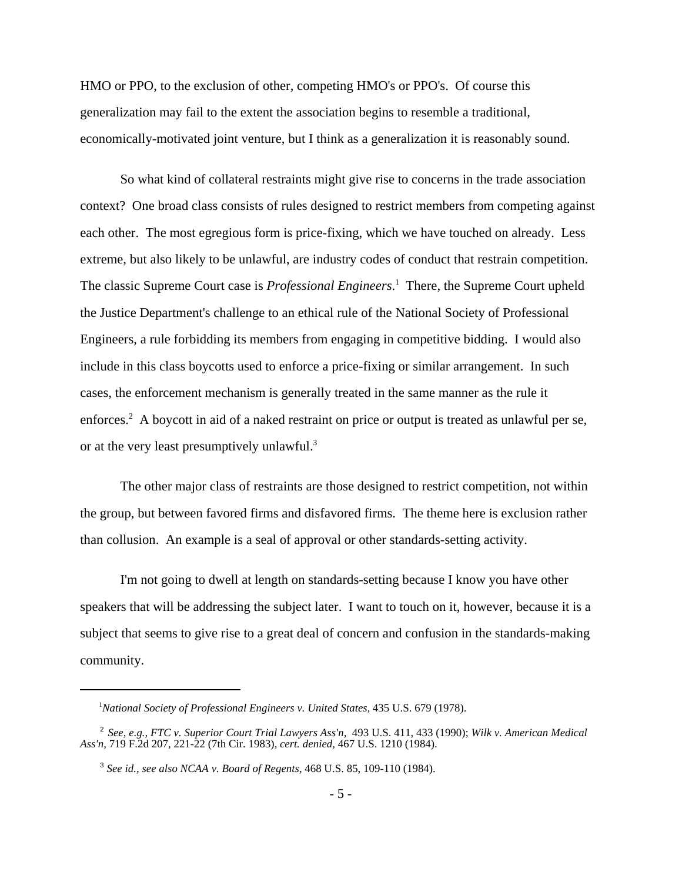HMO or PPO, to the exclusion of other, competing HMO's or PPO's. Of course this generalization may fail to the extent the association begins to resemble a traditional, economically-motivated joint venture, but I think as a generalization it is reasonably sound.

So what kind of collateral restraints might give rise to concerns in the trade association context? One broad class consists of rules designed to restrict members from competing against each other. The most egregious form is price-fixing, which we have touched on already. Less extreme, but also likely to be unlawful, are industry codes of conduct that restrain competition. The classic Supreme Court case is *Professional Engineers*. 1 There, the Supreme Court upheld the Justice Department's challenge to an ethical rule of the National Society of Professional Engineers, a rule forbidding its members from engaging in competitive bidding. I would also include in this class boycotts used to enforce a price-fixing or similar arrangement. In such cases, the enforcement mechanism is generally treated in the same manner as the rule it enforces.<sup>2</sup> A boycott in aid of a naked restraint on price or output is treated as unlawful per se, or at the very least presumptively unlawful.<sup>3</sup>

The other major class of restraints are those designed to restrict competition, not within the group, but between favored firms and disfavored firms. The theme here is exclusion rather than collusion. An example is a seal of approval or other standards-setting activity.

I'm not going to dwell at length on standards-setting because I know you have other speakers that will be addressing the subject later. I want to touch on it, however, because it is a subject that seems to give rise to a great deal of concern and confusion in the standards-making community.

<sup>&</sup>lt;sup>1</sup>National Society of Professional Engineers v. United States, 435 U.S. 679 (1978).

 <sup>2</sup> *See, e.g., FTC v. Superior Court Trial Lawyers Ass'n,* 493 U.S. 411, 433 (1990); *Wilk v. American Medical Ass'n,* 719 F.2d 207, 221-22 (7th Cir. 1983), *cert. denied,* 467 U.S. 1210 (1984).

 <sup>3</sup> *See id., see also NCAA v. Board of Regents,* 468 U.S. 85, 109-110 (1984).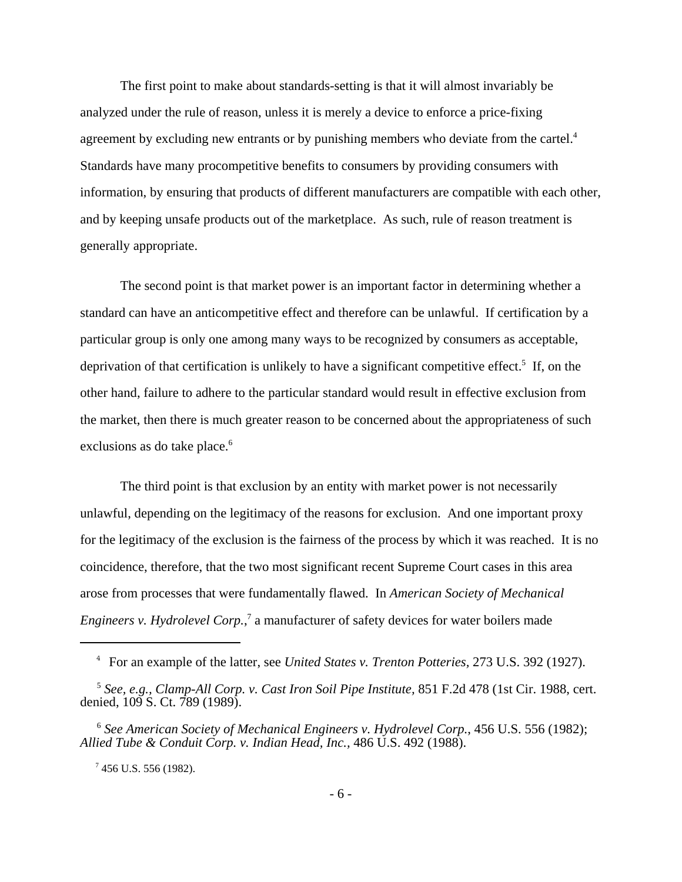The first point to make about standards-setting is that it will almost invariably be analyzed under the rule of reason, unless it is merely a device to enforce a price-fixing agreement by excluding new entrants or by punishing members who deviate from the cartel.<sup>4</sup> Standards have many procompetitive benefits to consumers by providing consumers with information, by ensuring that products of different manufacturers are compatible with each other, and by keeping unsafe products out of the marketplace. As such, rule of reason treatment is generally appropriate.

The second point is that market power is an important factor in determining whether a standard can have an anticompetitive effect and therefore can be unlawful. If certification by a particular group is only one among many ways to be recognized by consumers as acceptable, deprivation of that certification is unlikely to have a significant competitive effect.<sup>5</sup> If, on the other hand, failure to adhere to the particular standard would result in effective exclusion from the market, then there is much greater reason to be concerned about the appropriateness of such exclusions as do take place.<sup>6</sup>

The third point is that exclusion by an entity with market power is not necessarily unlawful, depending on the legitimacy of the reasons for exclusion. And one important proxy for the legitimacy of the exclusion is the fairness of the process by which it was reached. It is no coincidence, therefore, that the two most significant recent Supreme Court cases in this area arose from processes that were fundamentally flawed. In *American Society of Mechanical Engineers v. Hydrolevel Corp.*,<sup>7</sup> a manufacturer of safety devices for water boilers made

<sup>4</sup> For an example of the latter, see *United States v. Trenton Potteries,* 273 U.S. 392 (1927).

 <sup>5</sup> *See, e.g., Clamp-All Corp. v. Cast Iron Soil Pipe Institute,* 851 F.2d 478 (1st Cir. 1988, cert. denied, 109 S. Ct. 789 (1989).

 <sup>6</sup> *See American Society of Mechanical Engineers v. Hydrolevel Corp.*, 456 U.S. 556 (1982); *Allied Tube & Conduit Corp. v. Indian Head, Inc.,* 486 U.S. 492 (1988).

 $7$  456 U.S. 556 (1982).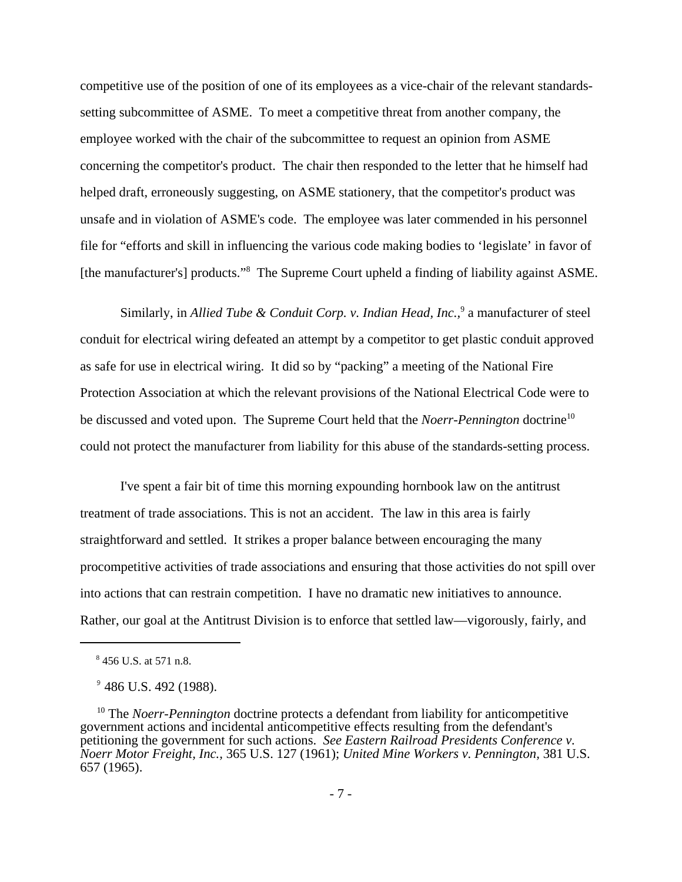competitive use of the position of one of its employees as a vice-chair of the relevant standardssetting subcommittee of ASME. To meet a competitive threat from another company, the employee worked with the chair of the subcommittee to request an opinion from ASME concerning the competitor's product. The chair then responded to the letter that he himself had helped draft, erroneously suggesting, on ASME stationery, that the competitor's product was unsafe and in violation of ASME's code. The employee was later commended in his personnel file for "efforts and skill in influencing the various code making bodies to 'legislate' in favor of [the manufacturer's] products."<sup>8</sup> The Supreme Court upheld a finding of liability against ASME.

Similarly, in *Allied Tube & Conduit Corp. v. Indian Head, Inc.*,<sup>9</sup> a manufacturer of steel conduit for electrical wiring defeated an attempt by a competitor to get plastic conduit approved as safe for use in electrical wiring. It did so by "packing" a meeting of the National Fire Protection Association at which the relevant provisions of the National Electrical Code were to be discussed and voted upon. The Supreme Court held that the *Noerr-Pennington* doctrine<sup>10</sup> could not protect the manufacturer from liability for this abuse of the standards-setting process.

I've spent a fair bit of time this morning expounding hornbook law on the antitrust treatment of trade associations. This is not an accident. The law in this area is fairly straightforward and settled. It strikes a proper balance between encouraging the many procompetitive activities of trade associations and ensuring that those activities do not spill over into actions that can restrain competition. I have no dramatic new initiatives to announce. Rather, our goal at the Antitrust Division is to enforce that settled law—vigorously, fairly, and

<sup>8</sup> 456 U.S. at 571 n.8.

 $9^{\circ}$  486 U.S. 492 (1988).

<sup>&</sup>lt;sup>10</sup> The *Noerr-Pennington* doctrine protects a defendant from liability for anticompetitive government actions and incidental anticompetitive effects resulting from the defendant's petitioning the government for such actions. *See Eastern Railroad Presidents Conference v. Noerr Motor Freight, Inc.,* 365 U.S. 127 (1961); *United Mine Workers v. Pennington,* 381 U.S. 657 (1965).